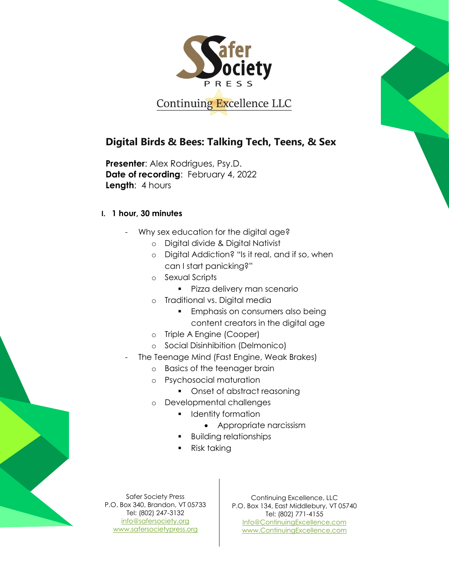

Continuing Excellence LLC

## **Digital Birds & Bees: Talking Tech, Teens, & Sex**

**Presenter**: Alex Rodrigues, Psy.D. **Date of recording**: February 4, 2022 **Length**: 4 hours

## **I. 1 hour, 30 minutes**

- Why sex education for the digital age?
	- o Digital divide & Digital Nativist
	- o Digital Addiction? "Is it real, and if so, when can I start panicking?"
	- o Sexual Scripts
		- **Pizza delivery man scenario**
	- o Traditional vs. Digital media
		- **Emphasis on consumers also being** content creators in the digital age
	- o Triple A Engine (Cooper)
	- o Social Disinhibition (Delmonico)
- The Teenage Mind (Fast Engine, Weak Brakes)
	- o Basics of the teenager brain
	- o Psychosocial maturation
		- Onset of abstract reasoning
	- o Developmental challenges
		- **I** Identity formation
			- Appropriate narcissism
		- Building relationships
		- Risk taking

Safer Society Press P.O. Box 340, Brandon, VT 05733 Tel: (802) 247-3132 [info@safersociety.org](mailto:info@safersociety.org) [www.safersocietypress.org](http://www.safersocietypress.org/)

Continuing Excellence, LLC P.O. Box 134, East Middlebury, VT 05740 Tel: (802) 771-4155 [Info@ContinuingExcellence.com](mailto:Info@ContinuingExcellence.com) [www.ContinuingExcellence.com](http://www.continuingexcellence.com/)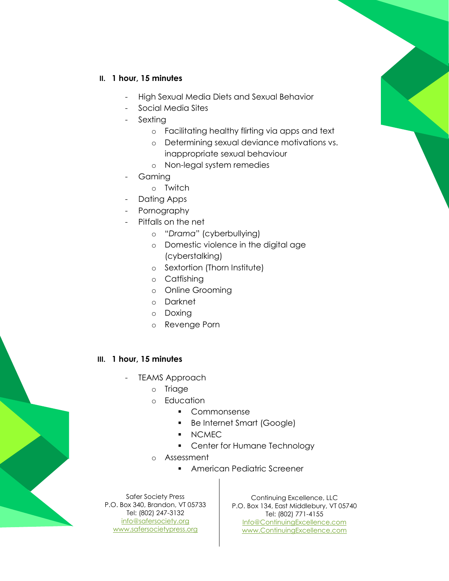## **II. 1 hour, 15 minutes**

- High Sexual Media Diets and Sexual Behavior
- Social Media Sites
- **Sexting** 
	- o Facilitating healthy flirting via apps and text
	- o Determining sexual deviance motivations vs.
	- inappropriate sexual behaviour
	- o Non-legal system remedies
- **Gaming** 
	- o Twitch
- Dating Apps
- Pornography
- Pitfalls on the net
	- o "*Drama*" (cyberbullying)
	- o Domestic violence in the digital age (cyberstalking)
	- o Sextortion (Thorn Institute)
	- o Catfishing
	- o Online Grooming
	- o Darknet
	- o Doxing
	- o Revenge Porn

## **III. 1 hour, 15 minutes**

- TEAMS Approach
	- o Triage
	- o Education
		- Commonsense
		- **Be Internet Smart (Google)**
		- NCMEC
		- Center for Humane Technology
	- o Assessment
		- **American Pediatric Screener**

Safer Society Press P.O. Box 340, Brandon, VT 05733 Tel: (802) 247-3132 [info@safersociety.org](mailto:info@safersociety.org) [www.safersocietypress.org](http://www.safersocietypress.org/)

Continuing Excellence, LLC P.O. Box 134, East Middlebury, VT 05740 Tel: (802) 771-4155 [Info@ContinuingExcellence.com](mailto:Info@ContinuingExcellence.com) [www.ContinuingExcellence.com](http://www.continuingexcellence.com/)